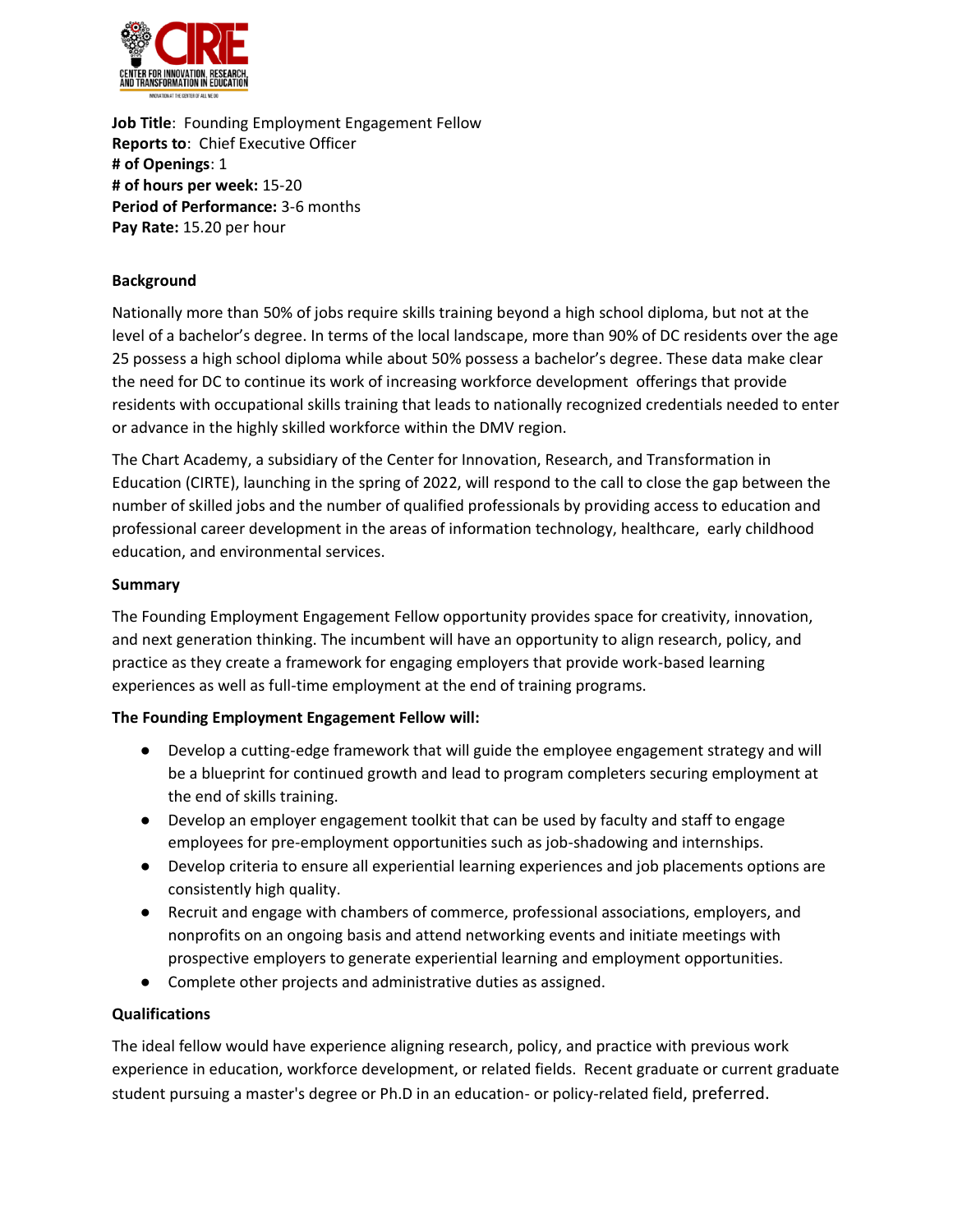

**Job Title**: Founding Employment Engagement Fellow **Reports to**: Chief Executive Officer **# of Openings**: 1 **# of hours per week:** 15-20 **Period of Performance:** 3-6 months **Pay Rate:** 15.20 per hour

## **Background**

Nationally more than 50% of jobs require skills training beyond a high school diploma, but not at the level of a bachelor's degree. In terms of the local landscape, more than 90% of DC residents over the age 25 possess a high school diploma while about 50% possess a bachelor's degree. These data make clear the need for DC to continue its work of increasing workforce development offerings that provide residents with occupational skills training that leads to nationally recognized credentials needed to enter or advance in the highly skilled workforce within the DMV region.

The Chart Academy, a subsidiary of the Center for Innovation, Research, and Transformation in Education (CIRTE), launching in the spring of 2022, will respond to the call to close the gap between the number of skilled jobs and the number of qualified professionals by providing access to education and professional career development in the areas of information technology, healthcare, early childhood education, and environmental services.

#### **Summary**

The Founding Employment Engagement Fellow opportunity provides space for creativity, innovation, and next generation thinking. The incumbent will have an opportunity to align research, policy, and practice as they create a framework for engaging employers that provide work-based learning experiences as well as full-time employment at the end of training programs.

#### **The Founding Employment Engagement Fellow will:**

- Develop a cutting-edge framework that will guide the employee engagement strategy and will be a blueprint for continued growth and lead to program completers securing employment at the end of skills training.
- Develop an employer engagement toolkit that can be used by faculty and staff to engage employees for pre-employment opportunities such as job-shadowing and internships.
- Develop criteria to ensure all experiential learning experiences and job placements options are consistently high quality.
- Recruit and engage with chambers of commerce, professional associations, employers, and nonprofits on an ongoing basis and attend networking events and initiate meetings with prospective employers to generate experiential learning and employment opportunities.
- Complete other projects and administrative duties as assigned.

# **Qualifications**

The ideal fellow would have experience aligning research, policy, and practice with previous work experience in education, workforce development, or related fields. Recent graduate or current graduate student pursuing a master's degree or Ph.D in an education- or policy-related field, preferred.